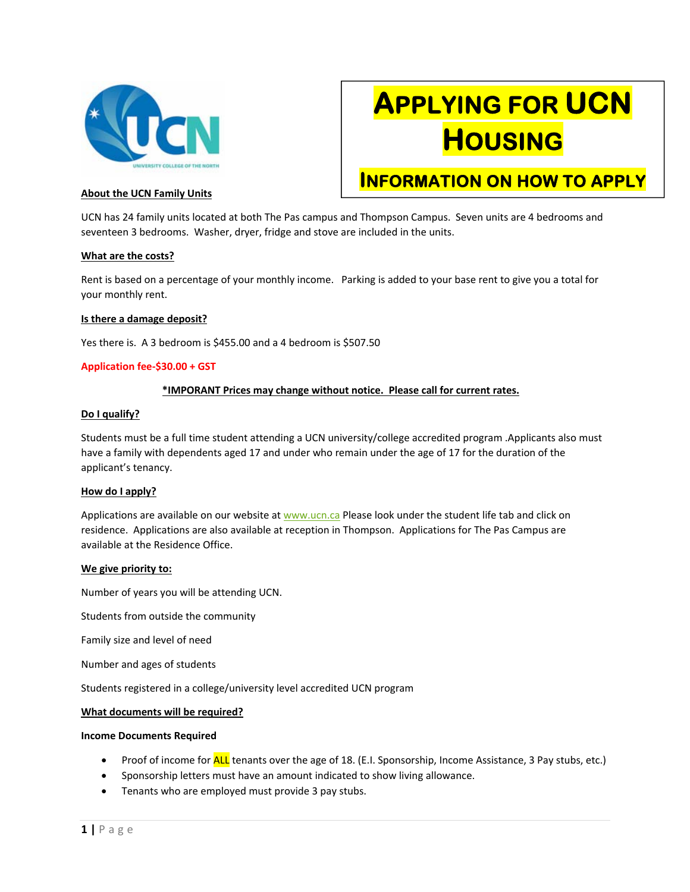

# **APPLYING FOR UCN HOUSING**

**INFORMATION ON HOW TO APPLY** 

# **About the UCN Family Units**

UCN has 24 family units located at both The Pas campus and Thompson Campus. Seven units are 4 bedrooms and seventeen 3 bedrooms. Washer, dryer, fridge and stove are included in the units.

#### **What are the costs?**

Rent is based on a percentage of your monthly income. Parking is added to your base rent to give you a total for your monthly rent.

#### **Is there a damage deposit?**

Yes there is. A 3 bedroom is \$455.00 and a 4 bedroom is \$507.50

#### **Application fee‐\$30.00 + GST**

#### **\*IMPORANT Prices may change without notice. Please call for current rates.**

#### **Do I qualify?**

Students must be a full time student attending a UCN university/college accredited program .Applicants also must have a family with dependents aged 17 and under who remain under the age of 17 for the duration of the applicant's tenancy.

#### **How do I apply?**

Applications are available on our website at www.ucn.ca Please look under the student life tab and click on residence. Applications are also available at reception in Thompson. Applications for The Pas Campus are available at the Residence Office.

#### **We give priority to:**

Number of years you will be attending UCN.

Students from outside the community

Family size and level of need

Number and ages of students

Students registered in a college/university level accredited UCN program

#### **What documents will be required?**

#### **Income Documents Required**

- Proof of income for **ALL** tenants over the age of 18. (E.I. Sponsorship, Income Assistance, 3 Pay stubs, etc.)
- Sponsorship letters must have an amount indicated to show living allowance.
- Tenants who are employed must provide 3 pay stubs.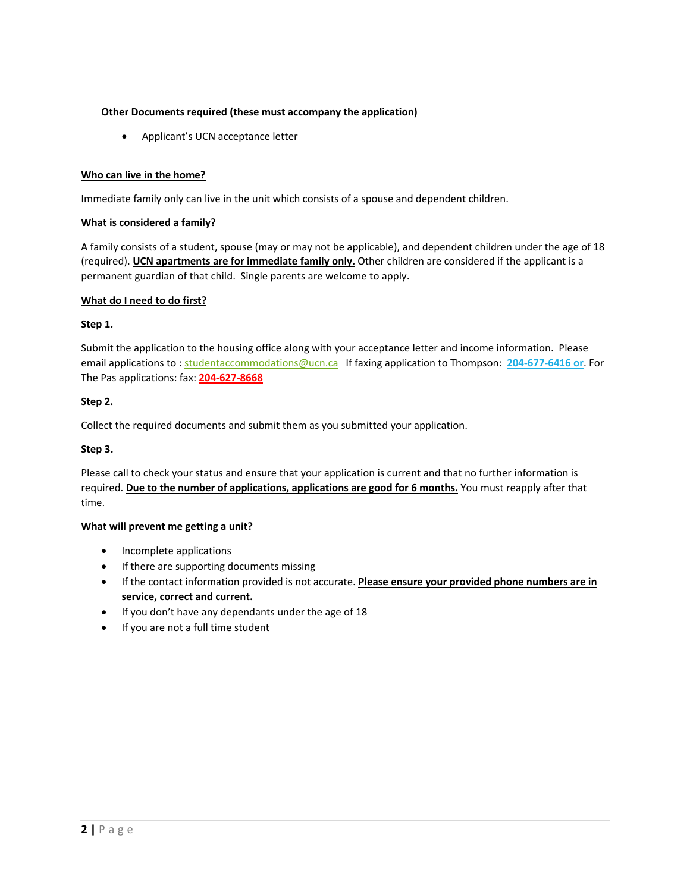# **Other Documents required (these must accompany the application)**

Applicant's UCN acceptance letter

# **Who can live in the home?**

Immediate family only can live in the unit which consists of a spouse and dependent children.

# **What is considered a family?**

A family consists of a student, spouse (may or may not be applicable), and dependent children under the age of 18 (required). **UCN apartments are for immediate family only.** Other children are considered if the applicant is a permanent guardian of that child. Single parents are welcome to apply.

# **What do I need to do first?**

# **Step 1.**

Submit the application to the housing office along with your acceptance letter and income information. Please email applications to : studentaccommodations@ucn.ca If faxing application to Thompson: **204‐677‐6416 or**. For The Pas applications: fax: **204‐627‐8668** 

# **Step 2.**

Collect the required documents and submit them as you submitted your application.

# **Step 3.**

Please call to check your status and ensure that your application is current and that no further information is required. **Due to the number of applications, applications are good for 6 months.** You must reapply after that time.

# **What will prevent me getting a unit?**

- Incomplete applications
- If there are supporting documents missing
- **If the contact information provided is not accurate. Please ensure your provided phone numbers are in service, correct and current.**
- If you don't have any dependants under the age of 18
- If you are not a full time student